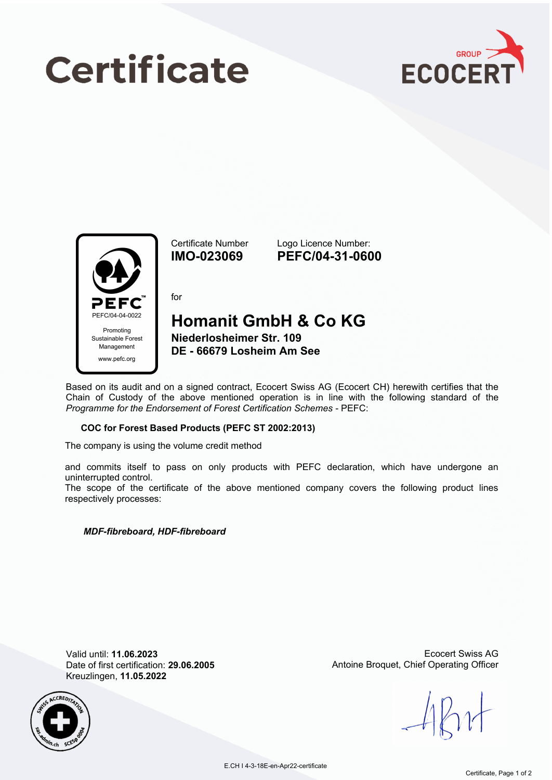# **Certificate**





Certificate Number **IMO-023069**

Logo Licence Number: **PEFC/04-31-0600**

for

### **Homanit GmbH & Co KG**

**Niederlosheimer Str. 109 DE - 66679 Losheim Am See**

Based on its audit and on a signed contract, Ecocert Swiss AG (Ecocert CH) herewith certifies that the Chain of Custody of the above mentioned operation is in line with the following standard of the *Programme for the Endorsement of Forest Certification Schemes* - PEFC:

#### **COC for Forest Based Products (PEFC ST 2002:2013)**

The company is using the volume credit method

and commits itself to pass on only products with PEFC declaration, which have undergone an uninterrupted control.

The scope of the certificate of the above mentioned company covers the following product lines respectively processes:

#### *MDF-fibreboard, HDF-fibreboard*

Valid until: **11.06.2023** Date of first certification: **29.06.2005** Kreuzlingen, **11.05.2022**



Ecocert Swiss AG Antoine Broquet, Chief Operating Officer